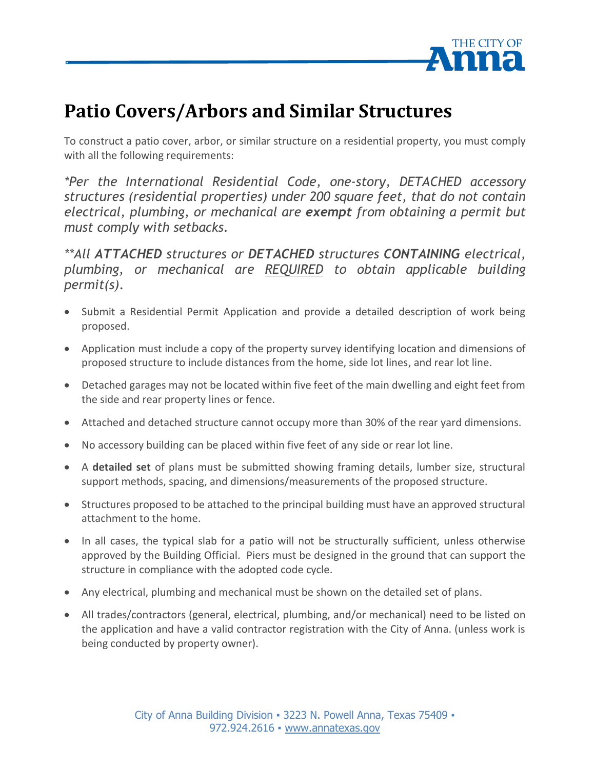

## **Patio Covers/Arbors and Similar Structures**

To construct a patio cover, arbor, or similar structure on a residential property, you must comply with all the following requirements:

*\*Per the International Residential Code, one-story, DETACHED accessory structures (residential properties) under 200 square feet, that do not contain electrical, plumbing, or mechanical are exempt from obtaining a permit but must comply with setbacks.* 

*\*\*All ATTACHED structures or DETACHED structures CONTAINING electrical, plumbing, or mechanical are REQUIRED to obtain applicable building permit(s).*

- Submit a Residential Permit Application and provide a detailed description of work being proposed.
- Application must include a copy of the property survey identifying location and dimensions of proposed structure to include distances from the home, side lot lines, and rear lot line.
- Detached garages may not be located within five feet of the main dwelling and eight feet from the side and rear property lines or fence.
- Attached and detached structure cannot occupy more than 30% of the rear yard dimensions.
- No accessory building can be placed within five feet of any side or rear lot line.
- A **detailed set** of plans must be submitted showing framing details, lumber size, structural support methods, spacing, and dimensions/measurements of the proposed structure.
- Structures proposed to be attached to the principal building must have an approved structural attachment to the home.
- In all cases, the typical slab for a patio will not be structurally sufficient, unless otherwise approved by the Building Official. Piers must be designed in the ground that can support the structure in compliance with the adopted code cycle.
- Any electrical, plumbing and mechanical must be shown on the detailed set of plans.
- All trades/contractors (general, electrical, plumbing, and/or mechanical) need to be listed on the application and have a valid contractor registration with the City of Anna. (unless work is being conducted by property owner).